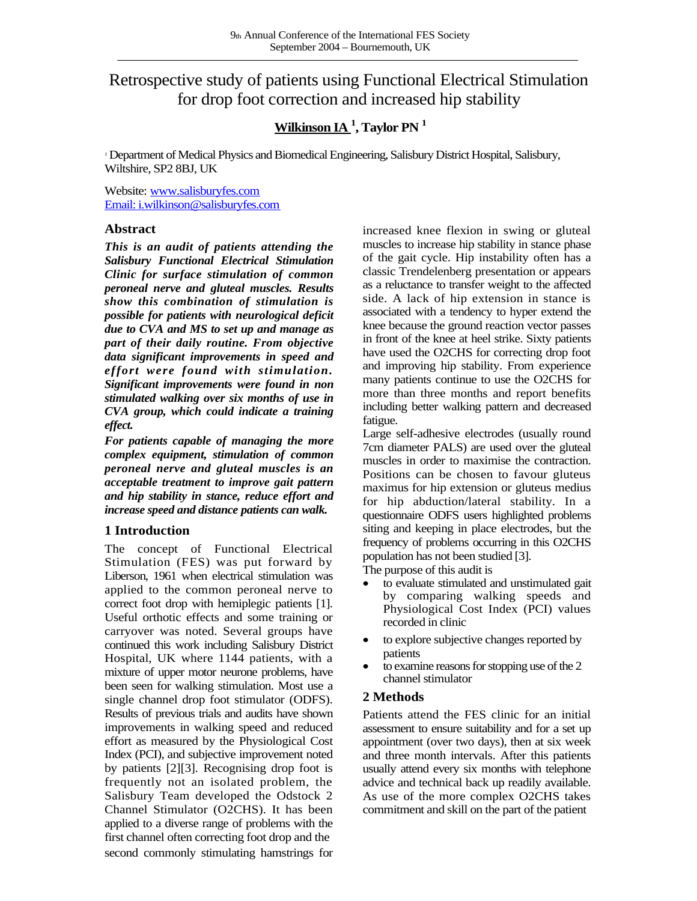# Retrospective study of patients using Functional Electrical Stimulation for drop foot correction and increased hip stability

## **Wilkinson IA <sup>1</sup> , Taylor PN <sup>1</sup>**

<sup>1</sup>Department of Medical Physics and Biomedical Engineering, Salisbury District Hospital, Salisbury, Wiltshire, SP2 8BJ, UK

Website: [www.salisburyfes.com](http://www.salisburyfes.com/) [Email: i.wilkinson@salisburyfes.com](mailto:i.wilkinson@salisburyfes.com)

## **Abstract**

*This is an audit of patients attending the Salisbury Functional Electrical Stimulation Clinic for surface stimulation of common peroneal nerve and gluteal muscles. Results show this combination of stimulation is possible for patients with neurological deficit due to CVA and MS to set up and manage as part of their daily routine. From objective data significant improvements in speed and effort were found with stimulation. Significant improvements were found in non stimulated walking over six months of use in CVA group, which could indicate a training effect.*

*For patients capable of managing the more complex equipment, stimulation of common peroneal nerve and gluteal muscles is an acceptable treatment to improve gait pattern and hip stability in stance, reduce effort and increase speed and distance patients can walk.*

## **1 Introduction**

The concept of Functional Electrical Stimulation (FES) was put forward by Liberson, 1961 when electrical stimulation was applied to the common peroneal nerve to correct foot drop with hemiplegic patients [1]. Useful orthotic effects and some training or carryover was noted. Several groups have continued this work including Salisbury District Hospital, UK where 1144 patients, with a mixture of upper motor neurone problems, have been seen for walking stimulation. Most use a single channel drop foot stimulator (ODFS). Results of previous trials and audits have shown improvements in walking speed and reduced effort as measured by the Physiological Cost Index (PCI), and subjective improvement noted by patients [2][3]. Recognising drop foot is frequently not an isolated problem, the Salisbury Team developed the Odstock 2 Channel Stimulator (O2CHS). It has been applied to a diverse range of problems with the first channel often correcting foot drop and the second commonly stimulating hamstrings for increased knee flexion in swing or gluteal muscles to increase hip stability in stance phase of the gait cycle. Hip instability often has a classic Trendelenberg presentation or appears as a reluctance to transfer weight to the affected side. A lack of hip extension in stance is associated with a tendency to hyper extend the knee because the ground reaction vector passes in front of the knee at heel strike. Sixty patients have used the O2CHS for correcting drop foot and improving hip stability. From experience many patients continue to use the O2CHS for more than three months and report benefits including better walking pattern and decreased fatigue.

Large self-adhesive electrodes (usually round 7cm diameter PALS) are used over the gluteal muscles in order to maximise the contraction. Positions can be chosen to favour gluteus maximus for hip extension or gluteus medius for hip abduction/lateral stability. In a questionnaire ODFS users highlighted problems siting and keeping in place electrodes, but the frequency of problems occurring in this O2CHS population has not been studied [3].

The purpose of this audit is

- to evaluate stimulated and unstimulated gait by comparing walking speeds and Physiological Cost Index (PCI) values recorded in clinic
- to explore subjective changes reported by patients
- to examine reasons for stopping use of the 2 channel stimulator

## **2 Methods**

Patients attend the FES clinic for an initial assessment to ensure suitability and for a set up appointment (over two days), then at six week and three month intervals. After this patients usually attend every six months with telephone advice and technical back up readily available. As use of the more complex O2CHS takes commitment and skill on the part of the patient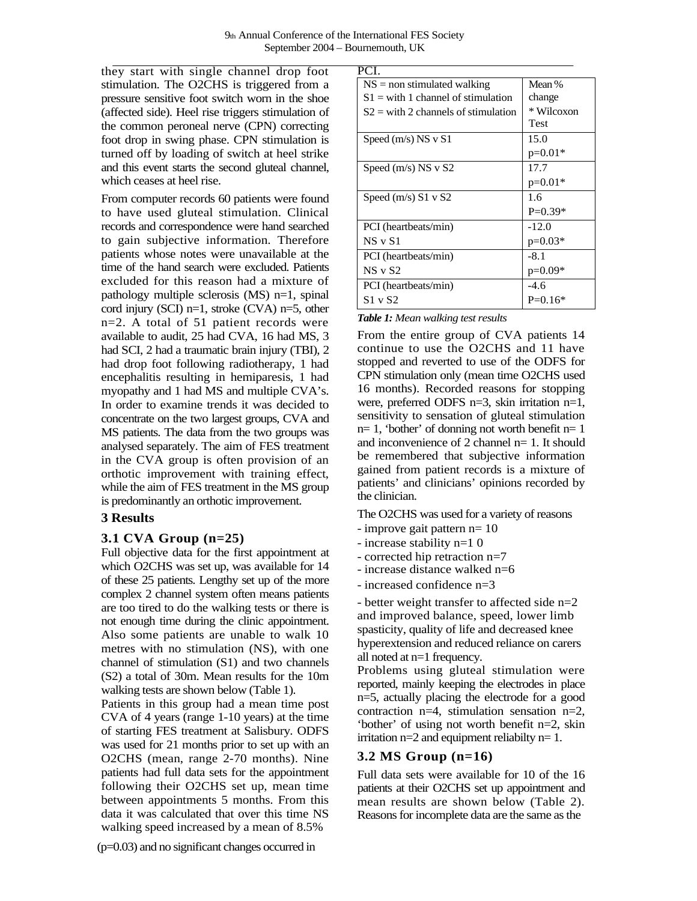they start with single channel drop foot stimulation. The O2CHS is triggered from a pressure sensitive foot switch worn in the shoe (affected side). Heel rise triggers stimulation of the common peroneal nerve (CPN) correcting foot drop in swing phase. CPN stimulation is turned off by loading of switch at heel strike and this event starts the second gluteal channel, which ceases at heel rise.

From computer records 60 patients were found to have used gluteal stimulation. Clinical records and correspondence were hand searched to gain subjective information. Therefore patients whose notes were unavailable at the time of the hand search were excluded. Patients excluded for this reason had a mixture of pathology multiple sclerosis (MS) n=1, spinal cord injury (SCI) n=1, stroke (CVA) n=5, other n=2. A total of 51 patient records were available to audit, 25 had CVA, 16 had MS, 3 had SCI, 2 had a traumatic brain injury (TBI), 2 had drop foot following radiotherapy, 1 had encephalitis resulting in hemiparesis, 1 had myopathy and 1 had MS and multiple CVA's. In order to examine trends it was decided to concentrate on the two largest groups, CVA and MS patients. The data from the two groups was analysed separately. The aim of FES treatment in the CVA group is often provision of an orthotic improvement with training effect, while the aim of FES treatment in the MS group is predominantly an orthotic improvement.

## **3 Results**

## **3.1 CVA Group (n=25)**

Full objective data for the first appointment at which O2CHS was set up, was available for 14 of these 25 patients. Lengthy set up of the more complex 2 channel system often means patients are too tired to do the walking tests or there is not enough time during the clinic appointment. Also some patients are unable to walk 10 metres with no stimulation (NS), with one channel of stimulation (S1) and two channels (S2) a total of 30m. Mean results for the 10m walking tests are shown below (Table 1).

Patients in this group had a mean time post CVA of 4 years (range 1-10 years) at the time of starting FES treatment at Salisbury. ODFS was used for 21 months prior to set up with an O2CHS (mean, range 2-70 months). Nine patients had full data sets for the appointment following their O2CHS set up, mean time between appointments 5 months. From this data it was calculated that over this time NS walking speed increased by a mean of 8.5%

(p=0.03) and no significant changes occurred in

| PCI.                                  |            |
|---------------------------------------|------------|
| $NS =$ non stimulated walking         | Mean %     |
| $S1 =$ with 1 channel of stimulation  | change     |
| $S2 =$ with 2 channels of stimulation | * Wilcoxon |
|                                       | Test       |
| Speed (m/s) NS v S1                   | 15.0       |
|                                       | $p=0.01*$  |
| Speed $(m/s)$ NS v S2                 | 17.7       |
|                                       | $p=0.01*$  |
| Speed $(m/s)$ S1 v S2                 | 1.6        |
|                                       | $P=0.39*$  |
| PCI (heartbeats/min)                  | $-12.0$    |
| NS V S1                               | $p=0.03*$  |
| PCI (heartbeats/min)                  | $-8.1$     |
| NS v S2                               | $p=0.09*$  |
| PCI (heartbeats/min)                  | $-4.6$     |
| S1 v S2                               | $P=0.16*$  |
|                                       |            |

*Table 1: Mean walking test results*

From the entire group of CVA patients 14 continue to use the O2CHS and 11 have stopped and reverted to use of the ODFS for CPN stimulation only (mean time O2CHS used 16 months). Recorded reasons for stopping were, preferred ODFS n=3, skin irritation n=1, sensitivity to sensation of gluteal stimulation  $n= 1$ , 'bother' of donning not worth benefit  $n= 1$ and inconvenience of 2 channel  $n=1$ . It should be remembered that subjective information gained from patient records is a mixture of patients' and clinicians' opinions recorded by the clinician.

The O2CHS was used for a variety of reasons

- improve gait pattern n= 10
- increase stability n=1 0
- corrected hip retraction n=7
- increase distance walked n=6
- increased confidence n=3

- better weight transfer to affected side n=2 and improved balance, speed, lower limb spasticity, quality of life and decreased knee hyperextension and reduced reliance on carers all noted at n=1 frequency.

Problems using gluteal stimulation were reported, mainly keeping the electrodes in place n=5, actually placing the electrode for a good contraction n=4, stimulation sensation n=2, 'bother' of using not worth benefit n=2, skin irritation  $n=2$  and equipment reliabilty  $n=1$ .

## **3.2 MS Group (n=16)**

Full data sets were available for 10 of the 16 patients at their O2CHS set up appointment and mean results are shown below (Table 2). Reasons for incomplete data are the same as the